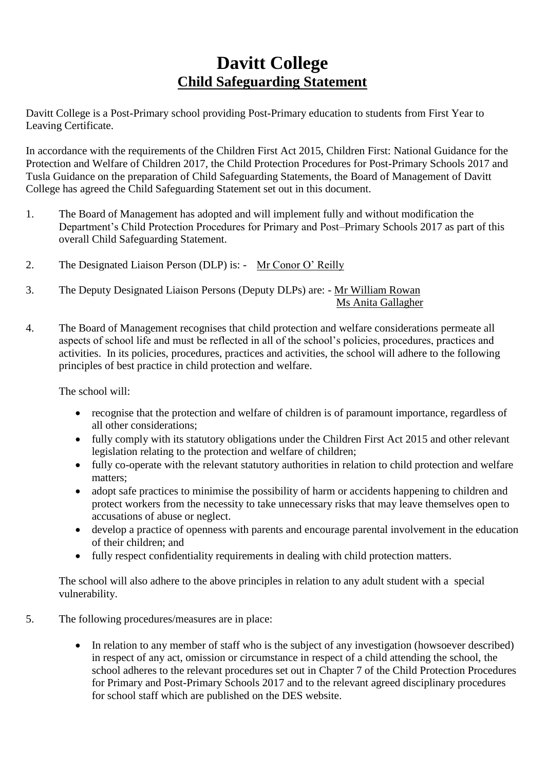## **Davitt College Child Safeguarding Statement**

Davitt College is a Post-Primary school providing Post-Primary education to students from First Year to Leaving Certificate.

In accordance with the requirements of the Children First Act 2015, Children First: National Guidance for the Protection and Welfare of Children 2017, the Child Protection Procedures for Post-Primary Schools 2017 and Tusla Guidance on the preparation of Child Safeguarding Statements, the Board of Management of Davitt College has agreed the Child Safeguarding Statement set out in this document.

- 1. The Board of Management has adopted and will implement fully and without modification the Department's Child Protection Procedures for Primary and Post–Primary Schools 2017 as part of this overall Child Safeguarding Statement.
- 2. The Designated Liaison Person (DLP) is: Mr Conor O' Reilly
- 3. The Deputy Designated Liaison Persons (Deputy DLPs) are: Mr William Rowan Ms Anita Gallagher
- 4. The Board of Management recognises that child protection and welfare considerations permeate all aspects of school life and must be reflected in all of the school's policies, procedures, practices and activities. In its policies, procedures, practices and activities, the school will adhere to the following principles of best practice in child protection and welfare.

The school will:

- recognise that the protection and welfare of children is of paramount importance, regardless of all other considerations;
- fully comply with its statutory obligations under the Children First Act 2015 and other relevant legislation relating to the protection and welfare of children;
- fully co-operate with the relevant statutory authorities in relation to child protection and welfare matters;
- adopt safe practices to minimise the possibility of harm or accidents happening to children and protect workers from the necessity to take unnecessary risks that may leave themselves open to accusations of abuse or neglect.
- develop a practice of openness with parents and encourage parental involvement in the education of their children; and
- fully respect confidentiality requirements in dealing with child protection matters.

The school will also adhere to the above principles in relation to any adult student with a special vulnerability.

- 5. The following procedures/measures are in place:
	- In relation to any member of staff who is the subject of any investigation (howsoever described) in respect of any act, omission or circumstance in respect of a child attending the school, the school adheres to the relevant procedures set out in Chapter 7 of the Child Protection Procedures for Primary and Post-Primary Schools 2017 and to the relevant agreed disciplinary procedures for school staff which are published on the DES website.